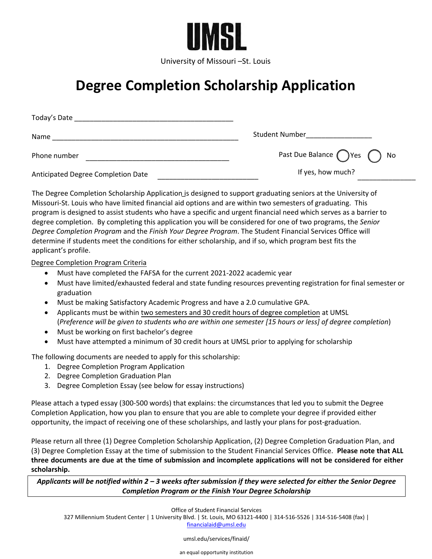

University of Missouri –St. Louis

## **Degree Completion Scholarship Application**

| Today's Date                       |                                             |
|------------------------------------|---------------------------------------------|
| Name                               | Student Number                              |
| Phone number                       | Past Due Balance $\bigcap$ Yes $\bigcap$ No |
| Anticipated Degree Completion Date | If yes, how much?                           |

The Degree Completion Scholarship Application is designed to support graduating seniors at the University of Missouri-St. Louis who have limited financial aid options and are within two semesters of graduating. This program is designed to assist students who have a specific and urgent financial need which serves as a barrier to degree completion. By completing this application you will be considered for one of two programs, the *Senior Degree Completion Program* and the *Finish Your Degree Program*. The Student Financial Services Office will determine if students meet the conditions for either scholarship, and if so, which program best fits the applicant's profile.

## Degree Completion Program Criteria

- Must have completed the FAFSA for the current 2021-2022 academic year
- Must have limited/exhausted federal and state funding resources preventing registration for final semester or graduation
- Must be making Satisfactory Academic Progress and have a 2.0 cumulative GPA.
- Applicants must be within two semesters and 30 credit hours of degree completion at UMSL (*Preference will be given to students who are within one semester [15 hours or less] of degree completion*)
- Must be working on first bachelor's degree
- Must have attempted a minimum of 30 credit hours at UMSL prior to applying for scholarship

The following documents are needed to apply for this scholarship:

- 1. Degree Completion Program Application
- 2. Degree Completion Graduation Plan
- 3. Degree Completion Essay (see below for essay instructions)

Please attach a typed essay (300-500 words) that explains: the circumstances that led you to submit the Degree Completion Application, how you plan to ensure that you are able to complete your degree if provided either opportunity, the impact of receiving one of these scholarships, and lastly your plans for post-graduation.

Please return all three (1) Degree Completion Scholarship Application, (2) Degree Completion Graduation Plan, and (3) Degree Completion Essay at the time of submission to the Student Financial Services Office. **Please note that ALL three documents are due at the time of submission and incomplete applications will not be considered for either scholarship.**

*Applicants will be notified within 2 – 3 weeks after submission if they were selected for either the Senior Degree Completion Program or the Finish Your Degree Scholarship*

Office of Student Financial Services

327 Millennium Student Center | 1 University Blvd. | St. Louis, MO 63121-4400 | 314-516-5526 | 314-516-[5408 \(fax\) |](mailto:financialaid@umsl.edu)  financialaid@umsl.edu

umsl.edu/services/finaid/

an equal opportunity institution